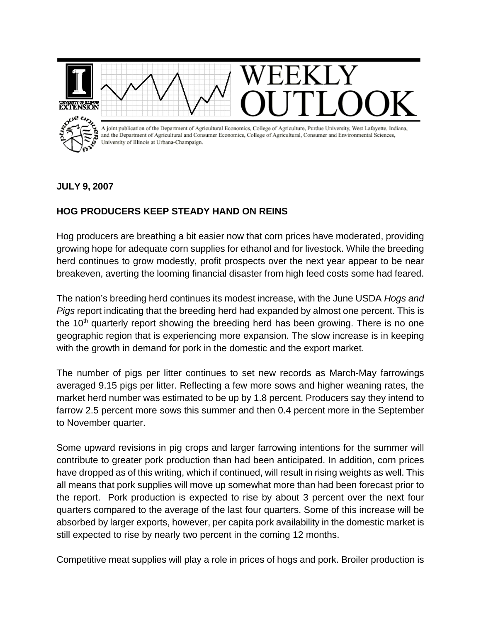

## **JULY 9, 2007**

## **HOG PRODUCERS KEEP STEADY HAND ON REINS**

Hog producers are breathing a bit easier now that corn prices have moderated, providing growing hope for adequate corn supplies for ethanol and for livestock. While the breeding herd continues to grow modestly, profit prospects over the next year appear to be near breakeven, averting the looming financial disaster from high feed costs some had feared.

The nation's breeding herd continues its modest increase, with the June USDA *Hogs and Pigs* report indicating that the breeding herd had expanded by almost one percent. This is the  $10<sup>th</sup>$  quarterly report showing the breeding herd has been growing. There is no one geographic region that is experiencing more expansion. The slow increase is in keeping with the growth in demand for pork in the domestic and the export market.

The number of pigs per litter continues to set new records as March-May farrowings averaged 9.15 pigs per litter. Reflecting a few more sows and higher weaning rates, the market herd number was estimated to be up by 1.8 percent. Producers say they intend to farrow 2.5 percent more sows this summer and then 0.4 percent more in the September to November quarter.

Some upward revisions in pig crops and larger farrowing intentions for the summer will contribute to greater pork production than had been anticipated. In addition, corn prices have dropped as of this writing, which if continued, will result in rising weights as well. This all means that pork supplies will move up somewhat more than had been forecast prior to the report. Pork production is expected to rise by about 3 percent over the next four quarters compared to the average of the last four quarters. Some of this increase will be absorbed by larger exports, however, per capita pork availability in the domestic market is still expected to rise by nearly two percent in the coming 12 months.

Competitive meat supplies will play a role in prices of hogs and pork. Broiler production is